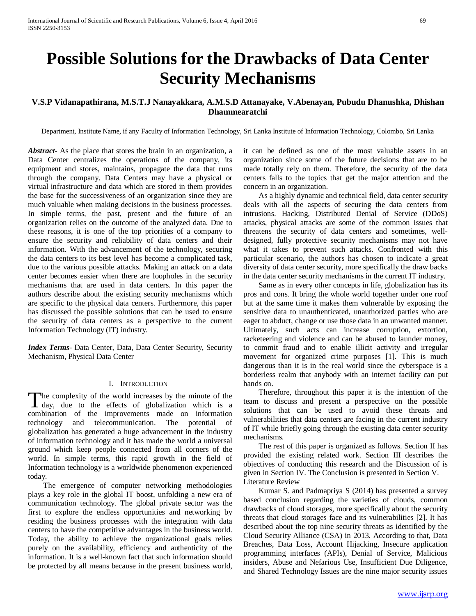# **Possible Solutions for the Drawbacks of Data Center Security Mechanisms**

## **V.S.P Vidanapathirana, M.S.T.J Nanayakkara, A.M.S.D Attanayake, V.Abenayan, Pubudu Dhanushka, Dhishan Dhammearatchi**

Department, Institute Name, if any Faculty of Information Technology, Sri Lanka Institute of Information Technology, Colombo, Sri Lanka

*Abstract***-** As the place that stores the brain in an organization, a Data Center centralizes the operations of the company, its equipment and stores, maintains, propagate the data that runs through the company. Data Centers may have a physical or virtual infrastructure and data which are stored in them provides the base for the successiveness of an organization since they are much valuable when making decisions in the business processes. In simple terms, the past, present and the future of an organization relies on the outcome of the analyzed data. Due to these reasons, it is one of the top priorities of a company to ensure the security and reliability of data centers and their information. With the advancement of the technology, securing the data centers to its best level has become a complicated task, due to the various possible attacks. Making an attack on a data center becomes easier when there are loopholes in the security mechanisms that are used in data centers. In this paper the authors describe about the existing security mechanisms which are specific to the physical data centers. Furthermore, this paper has discussed the possible solutions that can be used to ensure the security of data centers as a perspective to the current Information Technology (IT) industry.

*Index Terms*- Data Center, Data, Data Center Security, Security Mechanism, Physical Data Center

## I. INTRODUCTION

he complexity of the world increases by the minute of the The complexity of the world increases by the minute of the day, due to the effects of globalization which is a  $\alpha$ combination of the improvements made on information technology and telecommunication. The potential of globalization has generated a huge advancement in the industry of information technology and it has made the world a universal ground which keep people connected from all corners of the world. In simple terms, this rapid growth in the field of Information technology is a worldwide phenomenon experienced today.

 The emergence of computer networking methodologies plays a key role in the global IT boost, unfolding a new era of communication technology. The global private sector was the first to explore the endless opportunities and networking by residing the business processes with the integration with data centers to have the competitive advantages in the business world. Today, the ability to achieve the organizational goals relies purely on the availability, efficiency and authenticity of the information. It is a well-known fact that such information should be protected by all means because in the present business world, it can be defined as one of the most valuable assets in an organization since some of the future decisions that are to be made totally rely on them. Therefore, the security of the data centers falls to the topics that get the major attention and the concern in an organization.

 As a highly dynamic and technical field, data center security deals with all the aspects of securing the data centers from intrusions. Hacking, Distributed Denial of Service (DDoS) attacks, physical attacks are some of the common issues that threatens the security of data centers and sometimes, welldesigned, fully protective security mechanisms may not have what it takes to prevent such attacks. Confronted with this particular scenario, the authors has chosen to indicate a great diversity of data center security, more specifically the draw backs in the data center security mechanisms in the current IT industry.

 Same as in every other concepts in life, globalization has its pros and cons. It bring the whole world together under one roof but at the same time it makes them vulnerable by exposing the sensitive data to unauthenticated, unauthorized parties who are eager to abduct, change or use those data in an unwanted manner. Ultimately, such acts can increase corruption, extortion, racketeering and violence and can be abused to launder money, to commit fraud and to enable illicit activity and irregular movement for organized crime purposes [1]. This is much dangerous than it is in the real world since the cyberspace is a borderless realm that anybody with an internet facility can put hands on.

 Therefore, throughout this paper it is the intention of the team to discuss and present a perspective on the possible solutions that can be used to avoid these threats and vulnerabilities that data centers are facing in the current industry of IT while briefly going through the existing data center security mechanisms.

 The rest of this paper is organized as follows. Section II has provided the existing related work. Section III describes the objectives of conducting this research and the Discussion of is given in Section IV. The Conclusion is presented in Section V. Literature Review

 Kumar S. and Padmapriya S (2014) has presented a survey based conclusion regarding the varieties of clouds, common drawbacks of cloud storages, more specifically about the security threats that cloud storages face and its vulnerabilities [2]. It has described about the top nine security threats as identified by the Cloud Security Alliance (CSA) in 2013. According to that, Data Breaches, Data Loss, Account Hijacking, Insecure application programming interfaces (APIs), Denial of Service, Malicious insiders, Abuse and Nefarious Use, Insufficient Due Diligence, and Shared Technology Issues are the nine major security issues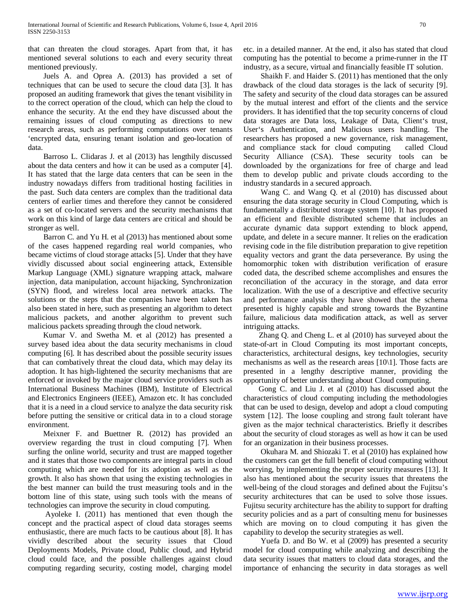that can threaten the cloud storages. Apart from that, it has mentioned several solutions to each and every security threat mentioned previously.

 Juels A. and Oprea A. (2013) has provided a set of techniques that can be used to secure the cloud data [3]. It has proposed an auditing framework that gives the tenant visibility in to the correct operation of the cloud, which can help the cloud to enhance the security. At the end they have discussed about the remaining issues of cloud computing as directions to new research areas, such as performing computations over tenants 'encrypted data, ensuring tenant isolation and geo-location of data.

 Barroso L. Clidaras J. et al (2013) has lengthily discussed about the data centers and how it can be used as a computer [4]. It has stated that the large data centers that can be seen in the industry nowadays differs from traditional hosting facilities in the past. Such data centers are complex than the traditional data centers of earlier times and therefore they cannot be considered as a set of co-located servers and the security mechanisms that work on this kind of large data centers are critical and should be stronger as well.

 Barron C. and Yu H. et al (2013) has mentioned about some of the cases happened regarding real world companies, who became victims of cloud storage attacks [5]. Under that they have vividly discussed about social engineering attack, Extensible Markup Language (XML) signature wrapping attack, malware injection, data manipulation, account hijacking, Synchronization (SYN) flood, and wireless local area network attacks. The solutions or the steps that the companies have been taken has also been stated in here, such as presenting an algorithm to detect malicious packets, and another algorithm to prevent such malicious packets spreading through the cloud network.

 Kumar V. and Swetha M. et al (2012) has presented a survey based idea about the data security mechanisms in cloud computing [6]. It has described about the possible security issues that can combatively threat the cloud data, which may delay its adoption. It has high-lightened the security mechanisms that are enforced or invoked by the major cloud service providers such as International Business Machines (IBM), Institute of Electrical and Electronics Engineers (IEEE), Amazon etc. It has concluded that it is a need in a cloud service to analyze the data security risk before putting the sensitive or critical data in to a cloud storage environment.

 Meixner F. and Buettner R. (2012) has provided an overview regarding the trust in cloud computing [7]. When surfing the online world, security and trust are mapped together and it states that those two components are integral parts in cloud computing which are needed for its adoption as well as the growth. It also has shown that using the existing technologies in the best manner can build the trust measuring tools and in the bottom line of this state, using such tools with the means of technologies can improve the security in cloud computing.

 Ayoleke I. (2011) has mentioned that even though the concept and the practical aspect of cloud data storages seems enthusiastic, there are much facts to be cautious about [8]. It has vividly described about the security issues that Cloud Deployments Models, Private cloud, Public cloud, and Hybrid cloud could face, and the possible challenges against cloud computing regarding security, costing model, charging model

etc. in a detailed manner. At the end, it also has stated that cloud computing has the potential to become a prime-runner in the IT industry, as a secure, virtual and financially feasible IT solution.

 Shaikh F. and Haider S. (2011) has mentioned that the only drawback of the cloud data storages is the lack of security [9]. The safety and security of the cloud data storages can be assured by the mutual interest and effort of the clients and the service providers. It has identified that the top security concerns of cloud data storages are Data loss, Leakage of Data, Client's trust, User's Authentication, and Malicious users handling. The researchers has proposed a new governance, risk management, and compliance stack for cloud computing called Cloud Security Alliance (CSA). These security tools can be downloaded by the organizations for free of charge and lead them to develop public and private clouds according to the industry standards in a secured approach.

 Wang C. and Wang Q. et al (2010) has discussed about ensuring the data storage security in Cloud Computing, which is fundamentally a distributed storage system [10]. It has proposed an efficient and flexible distributed scheme that includes an accurate dynamic data support extending to block append, update, and delete in a secure manner. It relies on the eradication revising code in the file distribution preparation to give repetition equality vectors and grant the data perseverance. By using the homomorphic token with distribution verification of erasure coded data, the described scheme accomplishes and ensures the reconciliation of the accuracy in the storage, and data error localization. With the use of a descriptive and effective security and performance analysis they have showed that the schema presented is highly capable and strong towards the Byzantine failure, malicious data modification attack, as well as server intriguing attacks.

 Zhang Q. and Cheng L. et al (2010) has surveyed about the state-of-art in Cloud Computing its most important concepts, characteristics, architectural designs, key technologies, security mechanisms as well as the research areas [10\1]. Those facts are presented in a lengthy descriptive manner, providing the opportunity of better understanding about Cloud computing.

 Gong C. and Liu J. et al (2010) has discussed about the characteristics of cloud computing including the methodologies that can be used to design, develop and adopt a cloud computing system [12]. The loose coupling and strong fault tolerant have given as the major technical characteristics. Briefly it describes about the security of cloud storages as well as how it can be used for an organization in their business processes.

 Okuhara M. and Shiozaki T. et al (2010) has explained how the customers can get the full benefit of cloud computing without worrying, by implementing the proper security measures [13]. It also has mentioned about the security issues that threatens the well-being of the cloud storages and defined about the Fujitsu's security architectures that can be used to solve those issues. Fujitsu security architecture has the ability to support for drafting security policies and as a part of consulting menu for businesses which are moving on to cloud computing it has given the capability to develop the security strategies as well.

 Yuefa D. and Bo W. et al (2009) has presented a security model for cloud computing while analyzing and describing the data security issues that matters to cloud data storages, and the importance of enhancing the security in data storages as well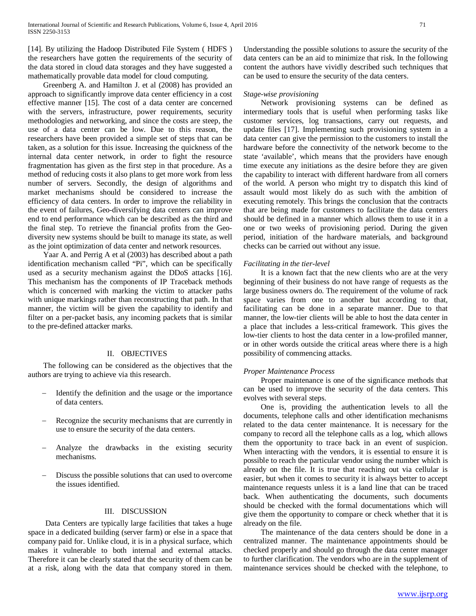[14]. By utilizing the Hadoop Distributed File System ( HDFS ) the researchers have gotten the requirements of the security of the data stored in cloud data storages and they have suggested a mathematically provable data model for cloud computing.

 Greenberg A. and Hamilton J. et al (2008) has provided an approach to significantly improve data center efficiency in a cost effective manner [15]. The cost of a data center are concerned with the servers, infrastructure, power requirements, security methodologies and networking, and since the costs are steep, the use of a data center can be low. Due to this reason, the researchers have been provided a simple set of steps that can be taken, as a solution for this issue. Increasing the quickness of the internal data center network, in order to fight the resource fragmentation has given as the first step in that procedure. As a method of reducing costs it also plans to get more work from less number of servers. Secondly, the design of algorithms and market mechanisms should be considered to increase the efficiency of data centers. In order to improve the reliability in the event of failures, Geo-diversifying data centers can improve end to end performance which can be described as the third and the final step. To retrieve the financial profits from the Geodiversity new systems should be built to manage its state, as well as the joint optimization of data center and network resources.

 Yaar A. and Perrig A et al (2003) has described about a path identification mechanism called "Pi", which can be specifically used as a security mechanism against the DDoS attacks [16]. This mechanism has the components of IP Traceback methods which is concerned with marking the victim to attacker paths with unique markings rather than reconstructing that path. In that manner, the victim will be given the capability to identify and filter on a per-packet basis, any incoming packets that is similar to the pre-defined attacker marks.

## II. OBJECTIVES

 The following can be considered as the objectives that the authors are trying to achieve via this research.

- Identify the definition and the usage or the importance of data centers.
- Recognize the security mechanisms that are currently in use to ensure the security of the data centers.
- Analyze the drawbacks in the existing security mechanisms.
- Discuss the possible solutions that can used to overcome the issues identified.

## III. DISCUSSION

 Data Centers are typically large facilities that takes a huge space in a dedicated building (server farm) or else in a space that company paid for. Unlike cloud, it is in a physical surface, which makes it vulnerable to both internal and external attacks. Therefore it can be clearly stated that the security of them can be at a risk, along with the data that company stored in them.

Understanding the possible solutions to assure the security of the data centers can be an aid to minimize that risk. In the following content the authors have vividly described such techniques that can be used to ensure the security of the data centers.

## *Stage-wise provisioning*

 Network provisioning systems can be defined as intermediary tools that is useful when performing tasks like customer services, log transactions, carry out requests, and update files [17]. Implementing such provisioning system in a data center can give the permission to the customers to install the hardware before the connectivity of the network become to the state 'available', which means that the providers have enough time execute any initiations as the desire before they are given the capability to interact with different hardware from all corners of the world. A person who might try to dispatch this kind of assault would most likely do as such with the ambition of executing remotely. This brings the conclusion that the contracts that are being made for customers to facilitate the data centers should be defined in a manner which allows them to use it in a one or two weeks of provisioning period. During the given period, initiation of the hardware materials, and background checks can be carried out without any issue.

## *Facilitating in the tier-level*

 It is a known fact that the new clients who are at the very beginning of their business do not have range of requests as the large business owners do. The requirement of the volume of rack space varies from one to another but according to that, facilitating can be done in a separate manner. Due to that manner, the low-tier clients will be able to host the data center in a place that includes a less-critical framework. This gives the low-tier clients to host the data center in a low-profiled manner, or in other words outside the critical areas where there is a high possibility of commencing attacks.

#### *Proper Maintenance Process*

 Proper maintenance is one of the significance methods that can be used to improve the security of the data centers. This evolves with several steps.

 One is, providing the authentication levels to all the documents, telephone calls and other identification mechanisms related to the data center maintenance. It is necessary for the company to record all the telephone calls as a log, which allows them the opportunity to trace back in an event of suspicion. When interacting with the vendors, it is essential to ensure it is possible to reach the particular vendor using the number which is already on the file. It is true that reaching out via cellular is easier, but when it comes to security it is always better to accept maintenance requests unless it is a land line that can be traced back. When authenticating the documents, such documents should be checked with the formal documentations which will give them the opportunity to compare or check whether that it is already on the file.

 The maintenance of the data centers should be done in a centralized manner. The maintenance appointments should be checked properly and should go through the data center manager to further clarification. The vendors who are in the supplement of maintenance services should be checked with the telephone, to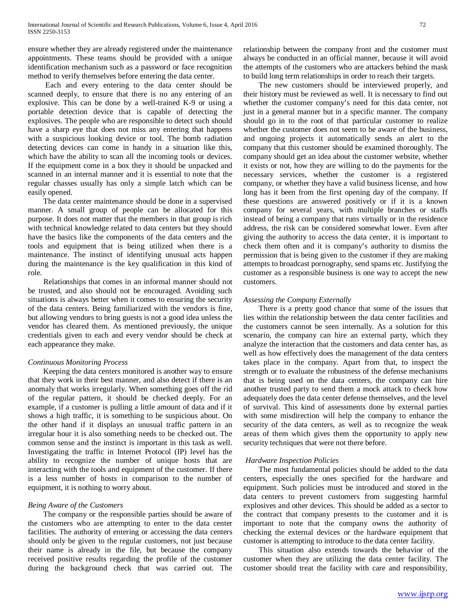ensure whether they are already registered under the maintenance appointments. These teams should be provided with a unique identification mechanism such as a password or face recognition method to verify themselves before entering the data center.

 Each and every entering to the data center should be scanned deeply, to ensure that there is no any entering of an explosive. This can be done by a well-trained K-9 or using a portable detection device that is capable of detecting the explosives. The people who are responsible to detect such should have a sharp eye that does not miss any entering that happens with a suspicious looking device or tool. The bomb radiation detecting devices can come in handy in a situation like this, which have the ability to scan all the incoming tools or devices. If the equipment come in a box they it should be unpacked and scanned in an internal manner and it is essential to note that the regular chasses usually has only a simple latch which can be easily opened.

 The data center maintenance should be done in a supervised manner. A small group of people can be allocated for this purpose. It does not matter that the members in that group is rich with technical knowledge related to data centers but they should have the basics like the components of the data centers and the tools and equipment that is being utilized when there is a maintenance. The instinct of identifying unusual acts happen during the maintenance is the key qualification in this kind of role.

 Relationships that comes in an informal manner should not be trusted, and also should not be encouraged. Avoiding such situations is always better when it comes to ensuring the security of the data centers. Being familiarized with the vendors is fine, but allowing vendors to bring guests is not a good idea unless the vendor has cleared them. As mentioned previously, the unique credentials given to each and every vendor should be check at each appearance they make.

## *Continuous Monitoring Process*

 Keeping the data centers monitored is another way to ensure that they work in their best manner, and also detect if there is an anomaly that works irregularly. When something goes off the rid of the regular pattern, it should be checked deeply. For an example, if a customer is pulling a little amount of data and if it shows a high traffic, it is something to be suspicious about. On the other hand if it displays an unusual traffic pattern in an irregular hour it is also something needs to be checked out. The common sense and the instinct is important in this task as well. Investigating the traffic in Internet Protocol (IP) level has the ability to recognize the number of unique hosts that are interacting with the tools and equipment of the customer. If there is a less number of hosts in comparison to the number of equipment, it is nothing to worry about.

## *Being Aware of the Customers*

 The company or the responsible parties should be aware of the customers who are attempting to enter to the data center facilities. The authority of entering or accessing the data centers should only be given to the regular customers, not just because their name is already in the file, but because the company received positive results regarding the profile of the customer during the background check that was carried out. The relationship between the company front and the customer must always be conducted in an official manner, because it will avoid the attempts of the customers who are attackers behind the mask to build long term relationships in order to reach their targets.

 The new customers should be interviewed properly, and their history must be reviewed as well. It is necessary to find out whether the customer company's need for this data center, not just in a general manner but in a specific manner. The company should go in to the root of that particular customer to realize whether the customer does not seem to be aware of the business, and ongoing projects it automatically sends an alert to the company that this customer should be examined thoroughly. The company should get an idea about the customer website, whether it exists or not, how they are willing to do the payments for the necessary services, whether the customer is a registered company, or whether they have a valid business license, and how long has it been from the first opening day of the company. If these questions are answered positively or if it is a known company for several years, with multiple branches or staffs instead of being a company that runs virtually or in the residence address, the risk can be considered somewhat lower. Even after giving the authority to access the data center, it is important to check them often and it is company's authority to dismiss the permission that is being given to the customer if they are making attempts to broadcast pornography, send spams etc. Justifying the customer as a responsible business is one way to accept the new customers.

## *Assessing the Company Externally*

 There is a pretty good chance that some of the issues that lies within the relationship between the data center facilities and the customers cannot be seen internally. As a solution for this scenario, the company can hire an external party, which they analyze the interaction that the customers and data center has, as well as how effectively does the management of the data centers takes place in the company. Apart from that, to inspect the strength or to evaluate the robustness of the defense mechanisms that is being used on the data centers, the company can hire another trusted party to send them a mock attack to check how adequately does the data center defense themselves, and the level of survival. This kind of assessments done by external parties with some misdirection will help the company to enhance the security of the data centers, as well as to recognize the weak areas of them which gives them the opportunity to apply new security techniques that were not there before.

## *Hardware Inspection Policies*

 The most fundamental policies should be added to the data centers, especially the ones specified for the hardware and equipment. Such policies must be introduced and stored in the data centers to prevent customers from suggesting harmful explosives and other devices. This should be added as a sector to the contract that company presents to the customer and it is important to note that the company owns the authority of checking the external devices or the hardware equipment that customer is attempting to introduce to the data center facility.

 This situation also extends towards the behavior of the customer when they are utilizing the data center facility. The customer should treat the facility with care and responsibility,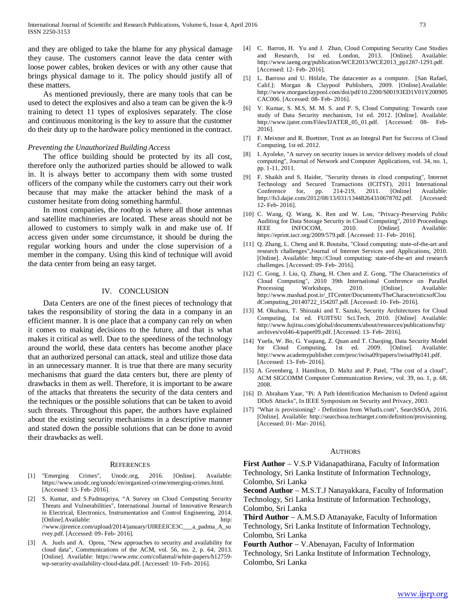and they are obliged to take the blame for any physical damage they cause. The customers cannot leave the data center with loose power cables, broken devices or with any other cause that brings physical damage to it. The policy should justify all of these matters.

 As mentioned previously, there are many tools that can be used to detect the explosives and also a team can be given the k-9 training to detect 11 types of explosives separately. The close and continuous monitoring is the key to assure that the customer do their duty up to the hardware policy mentioned in the contract.

#### *Preventing the Unauthorized Building Access*

 The office building should be protected by its all cost, therefore only the authorized parties should be allowed to walk in. It is always better to accompany them with some trusted officers of the company while the customers carry out their work because that may make the attacker behind the mask of a customer hesitate from doing something harmful.

 In most companies, the rooftop is where all those antennas and satellite machineries are located. These areas should not be allowed to customers to simply walk in and make use of. If access given under some circumstance, it should be during the regular working hours and under the close supervision of a member in the company. Using this kind of technique will avoid the data center from being an easy target.

## IV. CONCLUSION

 Data Centers are one of the finest pieces of technology that takes the responsibility of storing the data in a company in an efficient manner. It is one place that a company can rely on when it comes to making decisions to the future, and that is what makes it critical as well. Due to the speediness of the technology around the world, these data centers has become another place that an authorized personal can attack, steal and utilize those data in an unnecessary manner. It is true that there are many security mechanisms that guard the data centers but, there are plenty of drawbacks in them as well. Therefore, it is important to be aware of the attacks that threatens the security of the data centers and the techniques or the possible solutions that can be taken to avoid such threats. Throughout this paper, the authors have explained about the existing security mechanisms in a descriptive manner and stated down the possible solutions that can be done to avoid their drawbacks as well.

#### **REFERENCES**

- [1] "Emerging Crimes", Unodc.org, 2016. [Online]. Available: https://www.unodc.org/unodc/en/organized-crime/emerging-crimes.html. [Accessed: 13- Feb- 2016].
- S. Kumar, and S.Padmapriya, "A Survey on Cloud Computing Security Threats and Vulnerabilities", International Journal of Innovative Research in Electrical, Electronics, Instrumentation and Control Engineering, 2014.<br>[Online].Available: http: [Online].Available: //www.ijireeice.com/upload/2014/january/IJIREEICE3C\_\_\_a\_padma\_A\_su rvey.pdf. [Accessed: 09- Feb- 2016].
- [3] A. Juels and A. Oprea, "New approaches to security and availability for cloud data", Communications of the ACM, vol. 56, no. 2, p. 64, 2013. [Online]. Available: https://www.emc.com/collateral/white-papers/h12759 wp-security-availability-cloud-data.pdf. [Accessed: 10- Feb- 2016].
- [4] C. Barron, H. Yu and J. Zhan, Cloud Computing Security Case Studies and Research, 1st ed. London, 2013. [Online]. Available: http://www.iaeng.org/publication/WCE2013/WCE2013\_pp1287-1291.pdf. [Accessed: 12- Feb- 2016].
- [5] L. Barroso and U. Hölzle, The datacenter as a computer. [San Rafael, Calif.]: Morgan & Claypool Publishers, 2009. [Online].Available: http://www.morganclaypool.com/doi/pdf/10.2200/S00193ED1V01Y200905 CAC006. [Accessed: 08- Feb- 2016].
- [6] V. Kumar, S. M.S, M. M. S. and P. S, Cloud Computing: Towards case study of Data Security mechanism, 1st ed. 2012. [Online]. Available: http://www.ijater.com/Files/IJATER\_05\_01.pdf. [Accessed: 08- Feb-2016].
- [7] F. Meixner and R. Buettner, Trust as an Integral Part for Success of Cloud Computing, 1st ed. 2012.
- [8] I. Ayoleke, "A survey on security issues in service delivery models of cloud computing", Journal of Network and Computer Applications, vol. 34, no. 1, pp. 1-11, 2011.
- [9] F. Shaikh and S. Haider, "Security threats in cloud computing", Internet Technology and Secured Transactions (ICITST), 2011 International for, pp. 214-219, 2011. [Online] Available: http://fs3.dajie.com/2012/08/13/031/13448264310678702.pdf. [Accessed: 12- Feb- 2016].
- [10] C. Wang, Q. Wang, K. Ren and W. Lou, "Privacy-Preserving Public Auditing for Data Storage Security in Cloud Computing", 2010 Proceedings IEEE INFOCOM, 2010. [Online]. Available: https://eprint.iacr.org/2009/579.pdf. [Accessed: 11- Feb- 2016].
- [11] Q. Zhang, L. Cheng and R. Boutaba, "Cloud computing: state-of-the-art and research challenges",Journal of Internet Services and Applications, 2010. [Online]. Available: http://Cloud computing: state-of-the-art and research challenges. [Accessed: 09- Feb- 2016].
- [12] C. Gong, J. Liu, Q. Zhang, H. Chen and Z. Gong, "The Characteristics of Cloud Computing", 2010 39th International Conference on Parallel Processing Workshops, 2010. [Online]. Available: http://www.mashad.post.ir/\_ITCenter/Documents/TheCharacteristicsofClou dComputing\_20140722\_154207.pdf. [Accessed: 10- Feb- 2016].
- [13] M. Okuhara, T. Shiozaki and T. Sazuki, Security Architectures for Cloud Computing, 1st ed. FUJITSU Sci.Tech, 2010. [Online] Available: http://www.fujitsu.com/global/documents/about/resources/publications/fstj/ archives/vol46-4/paper09.pdf. [Accessed: 13- Feb- 2016].
- [14] Yuefa, W. Bo, G. Yaqiang, Z. Quan and T. Chaojing, Data Security Model for Cloud Computing, 1st ed. 2009. [Online]. Available: http://www.academypublisher.com/proc/iwisa09/papers/iwisa09p141.pdf. [Accessed: 13- Feb- 2016].
- [15] A. Greenberg, J. Hamilton, D. Maltz and P. Patel, "The cost of a cloud", ACM SIGCOMM Computer Communication Review, vol. 39, no. 1, p. 68, 2008.
- [16] D. Abraham Yaar, "Pi: A Path Identification Mechanism to Defend against DDoS Attacks", In IEEE Symposium on Security and Privacy, 2003.
- [17] "What is provisioning? Definition from WhatIs.com", SearchSOA, 2016. [Online]. Available: http://searchsoa.techtarget.com/definition/provisioning. [Accessed: 01- Mar- 2016].

### AUTHORS

**First Author** – V.S.P Vidanapathirana, Faculty of Information Technology, Sri Lanka Institute of Information Technology, Colombo, Sri Lanka

**Second Author** – M.S.T.J Nanayakkara, Faculty of Information Technology, Sri Lanka Institute of Information Technology, Colombo, Sri Lanka

**Third Author** – A.M.S.D Attanayake, Faculty of Information Technology, Sri Lanka Institute of Information Technology, Colombo, Sri Lanka

**Fourth Author** – V.Abenayan, Faculty of Information Technology, Sri Lanka Institute of Information Technology, Colombo, Sri Lanka